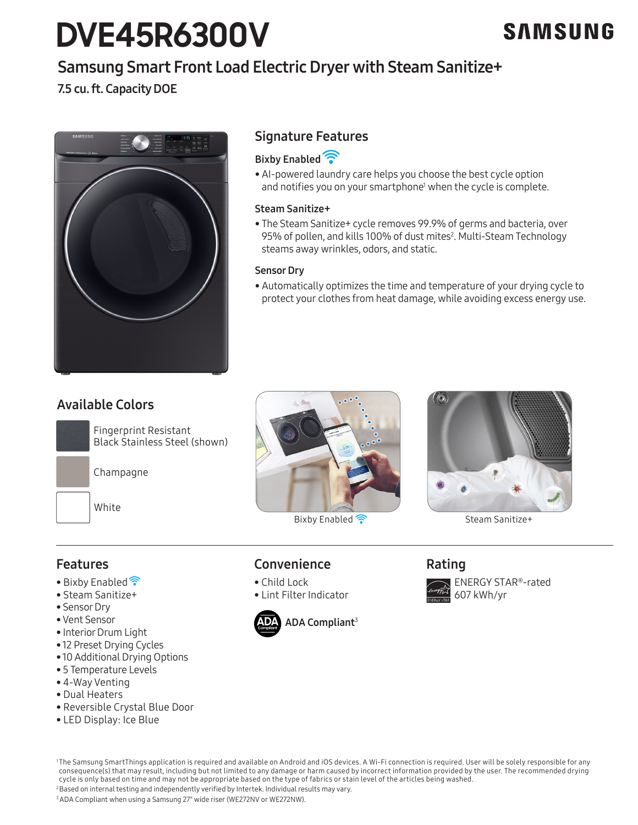# **DVE45R6300V**

# Samsung Smart Front Load Electric Dryer with Steam Sanitize+

### 7.5 cu. ft. Capacity DOE



#### Signature Features

#### **Bixby Enabled**

• AI-powered laundry care helps you choose the best cycle option and notifies you on your smartphone<sup>1</sup> when the cycle is complete.

#### Steam Sanitize+

• The Steam Sanitize+ cycle removes 99.9% of germs and bacteria, over 95% of pollen, and kills 100% of dust mites<sup>2</sup>. Multi-Steam Technology steams away wrinkles, odors, and static.

#### Sensor Dry

• Automatically optimizes the time and temperature of your drying cycle to protect your clothes from heat damage, while avoiding excess energy use.

### Available Colors



Champagne

White



Bixby Enabled <sup>2</sup><br>
Steam Sanitize+



#### Features

- Bixby Enabled<sup>•</sup>
- Steam Sanitize+
- Sensor Dry
- Vent Sensor
- Interior Drum Light
- 12 Preset Drying Cycles
- 10 Additional Drying Options
- 5 Temperature Levels
- 4-Way Venting
- Dual Heaters
- Reversible Crystal Blue Door
- LED Display: Ice Blue



• Lint Filter Indicator

Convenience

• Child Lock

#### Rating



<sup>1</sup>The Samsung SmartThings application is required and available on Android and iOS devices. A Wi-Fi connection is required. User will be solely responsible for any consequence(s) that may result, including but not limited to any damage or harm caused by incorrect information provided by the user. The recommended drying cycle is only based on time and may not be appropriate based on the type of fabrics or stain level of the articles being washed.

2 Based on internal testing and independently verified by Intertek. Individual results may vary. 3 ADA Compliant when using a Samsung 27" wide riser (WE272NV or WE272NW).